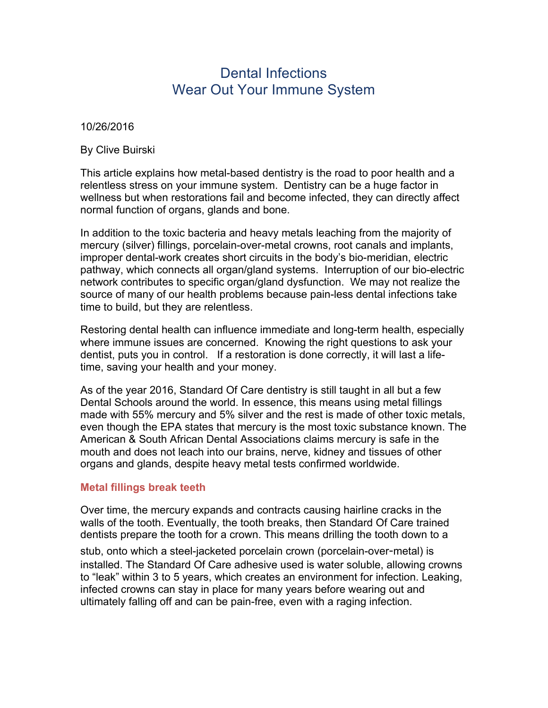# Dental Infections Wear Out Your Immune System

10/26/2016

By Clive Buirski

This article explains how metal-based dentistry is the road to poor health and a relentless stress on your immune system. Dentistry can be a huge factor in wellness but when restorations fail and become infected, they can directly affect normal function of organs, glands and bone.

In addition to the toxic bacteria and heavy metals leaching from the majority of mercury (silver) fillings, porcelain-over-metal crowns, root canals and implants, improper dental-work creates short circuits in the body's bio-meridian, electric pathway, which connects all organ/gland systems. Interruption of our bio-electric network contributes to specific organ/gland dysfunction. We may not realize the source of many of our health problems because pain-less dental infections take time to build, but they are relentless.

Restoring dental health can influence immediate and long-term health, especially where immune issues are concerned. Knowing the right questions to ask your dentist, puts you in control. If a restoration is done correctly, it will last a lifetime, saving your health and your money.

As of the year 2016, Standard Of Care dentistry is still taught in all but a few Dental Schools around the world. In essence, this means using metal fillings made with 55% mercury and 5% silver and the rest is made of other toxic metals, even though the EPA states that mercury is the most toxic substance known. The American & South African Dental Associations claims mercury is safe in the mouth and does not leach into our brains, nerve, kidney and tissues of other organs and glands, despite heavy metal tests confirmed worldwide.

### **Metal fillings break teeth**

Over time, the mercury expands and contracts causing hairline cracks in the walls of the tooth. Eventually, the tooth breaks, then Standard Of Care trained dentists prepare the tooth for a crown. This means drilling the tooth down to a

stub, onto which a steel-jacketed porcelain crown (porcelain-over-metal) is installed. The Standard Of Care adhesive used is water soluble, allowing crowns to "leak" within 3 to 5 years, which creates an environment for infection. Leaking, infected crowns can stay in place for many years before wearing out and ultimately falling off and can be pain-free, even with a raging infection.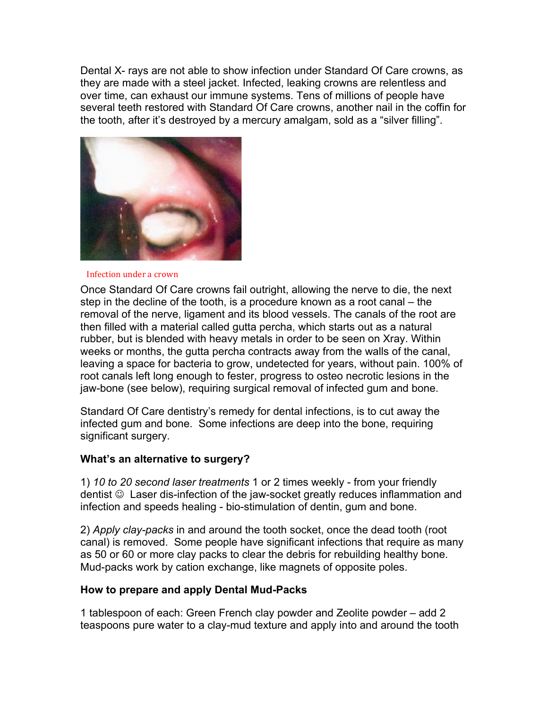Dental X- rays are not able to show infection under Standard Of Care crowns, as they are made with a steel jacket. Infected, leaking crowns are relentless and over time, can exhaust our immune systems. Tens of millions of people have several teeth restored with Standard Of Care crowns, another nail in the coffin for the tooth, after it's destroyed by a mercury amalgam, sold as a "silver filling".



#### Infection under a crown

Once Standard Of Care crowns fail outright, allowing the nerve to die, the next step in the decline of the tooth, is a procedure known as a root canal – the removal of the nerve, ligament and its blood vessels. The canals of the root are then filled with a material called gutta percha, which starts out as a natural rubber, but is blended with heavy metals in order to be seen on Xray. Within weeks or months, the gutta percha contracts away from the walls of the canal, leaving a space for bacteria to grow, undetected for years, without pain. 100% of root canals left long enough to fester, progress to osteo necrotic lesions in the jaw-bone (see below), requiring surgical removal of infected gum and bone.

Standard Of Care dentistry's remedy for dental infections, is to cut away the infected gum and bone. Some infections are deep into the bone, requiring significant surgery.

### **What's an alternative to surgery?**

1) *10 to 20 second laser treatments* 1 or 2 times weekly - from your friendly dentist  $\odot$  Laser dis-infection of the jaw-socket greatly reduces inflammation and infection and speeds healing - bio-stimulation of dentin, gum and bone.

2) *Apply clay-packs* in and around the tooth socket, once the dead tooth (root canal) is removed. Some people have significant infections that require as many as 50 or 60 or more clay packs to clear the debris for rebuilding healthy bone. Mud-packs work by cation exchange, like magnets of opposite poles.

## **How to prepare and apply Dental Mud-Packs**

1 tablespoon of each: Green French clay powder and Zeolite powder – add 2 teaspoons pure water to a clay-mud texture and apply into and around the tooth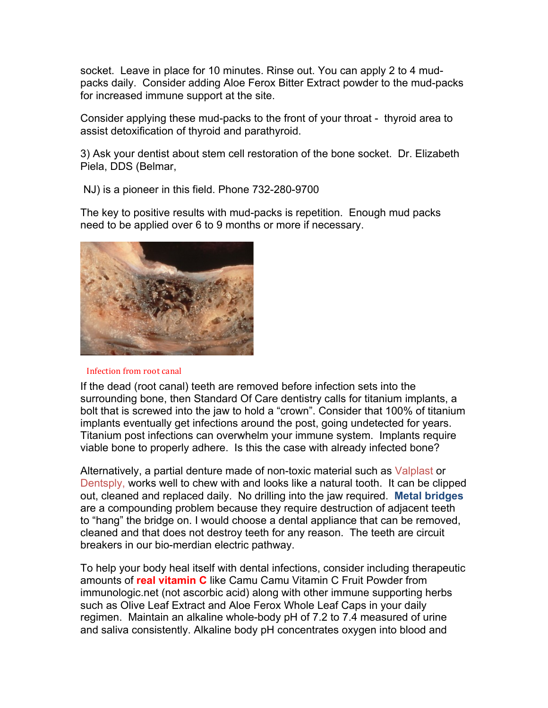socket. Leave in place for 10 minutes. Rinse out. You can apply 2 to 4 mudpacks daily. Consider adding Aloe Ferox Bitter Extract powder to the mud-packs for increased immune support at the site.

Consider applying these mud-packs to the front of your throat - thyroid area to assist detoxification of thyroid and parathyroid.

3) Ask your dentist about stem cell restoration of the bone socket. Dr. Elizabeth Piela, DDS (Belmar,

NJ) is a pioneer in this field. Phone 732-280-9700

The key to positive results with mud-packs is repetition. Enough mud packs need to be applied over 6 to 9 months or more if necessary.



#### Infection from root canal

If the dead (root canal) teeth are removed before infection sets into the surrounding bone, then Standard Of Care dentistry calls for titanium implants, a bolt that is screwed into the jaw to hold a "crown". Consider that 100% of titanium implants eventually get infections around the post, going undetected for years. Titanium post infections can overwhelm your immune system. Implants require viable bone to properly adhere. Is this the case with already infected bone?

Alternatively, a partial denture made of non-toxic material such as Valplast or Dentsply, works well to chew with and looks like a natural tooth. It can be clipped out, cleaned and replaced daily. No drilling into the jaw required. **Metal bridges** are a compounding problem because they require destruction of adjacent teeth to "hang" the bridge on. I would choose a dental appliance that can be removed, cleaned and that does not destroy teeth for any reason. The teeth are circuit breakers in our bio-merdian electric pathway.

To help your body heal itself with dental infections, consider including therapeutic amounts of **real vitamin C** like Camu Camu Vitamin C Fruit Powder from immunologic.net (not ascorbic acid) along with other immune supporting herbs such as Olive Leaf Extract and Aloe Ferox Whole Leaf Caps in your daily regimen. Maintain an alkaline whole-body pH of 7.2 to 7.4 measured of urine and saliva consistently. Alkaline body pH concentrates oxygen into blood and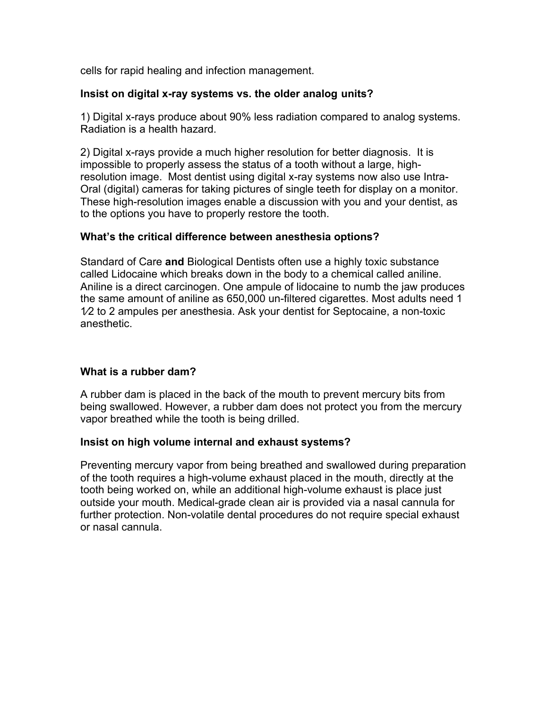cells for rapid healing and infection management.

#### **Insist on digital x-ray systems vs. the older analog units?**

1) Digital x-rays produce about 90% less radiation compared to analog systems. Radiation is a health hazard.

2) Digital x-rays provide a much higher resolution for better diagnosis. It is impossible to properly assess the status of a tooth without a large, highresolution image. Most dentist using digital x-ray systems now also use Intra-Oral (digital) cameras for taking pictures of single teeth for display on a monitor. These high-resolution images enable a discussion with you and your dentist, as to the options you have to properly restore the tooth.

#### **What's the critical difference between anesthesia options?**

Standard of Care **and** Biological Dentists often use a highly toxic substance called Lidocaine which breaks down in the body to a chemical called aniline. Aniline is a direct carcinogen. One ampule of lidocaine to numb the jaw produces the same amount of aniline as 650,000 un-filtered cigarettes. Most adults need 1 1⁄2 to 2 ampules per anesthesia. Ask your dentist for Septocaine, a non-toxic anesthetic.

### **What is a rubber dam?**

A rubber dam is placed in the back of the mouth to prevent mercury bits from being swallowed. However, a rubber dam does not protect you from the mercury vapor breathed while the tooth is being drilled.

### **Insist on high volume internal and exhaust systems?**

Preventing mercury vapor from being breathed and swallowed during preparation of the tooth requires a high-volume exhaust placed in the mouth, directly at the tooth being worked on, while an additional high-volume exhaust is place just outside your mouth. Medical-grade clean air is provided via a nasal cannula for further protection. Non-volatile dental procedures do not require special exhaust or nasal cannula.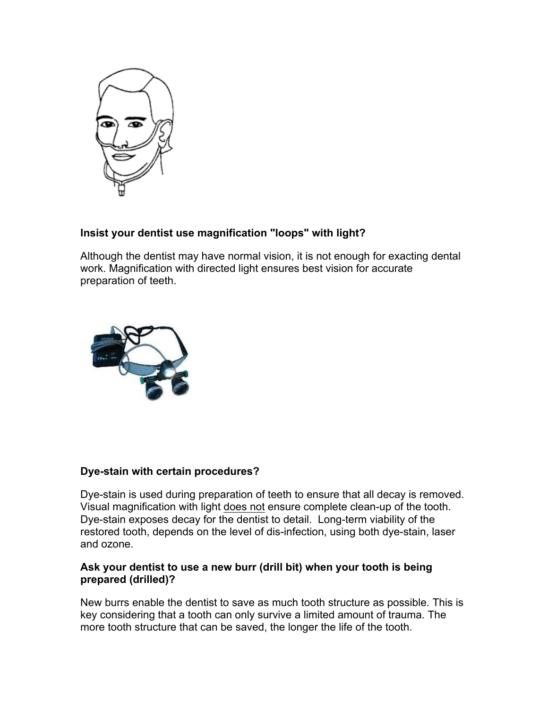

# **Insist your dentist use magnification "loops" with light?**

Although the dentist may have normal vision, it is not enough for exacting dental work. Magnification with directed light ensures best vision for accurate preparation of teeth.



# **Dye-stain with certain procedures?**

Dye-stain is used during preparation of teeth to ensure that all decay is removed. Visual magnification with light does not ensure complete clean-up of the tooth. Dye-stain exposes decay for the dentist to detail. Long-term viability of the restored tooth, depends on the level of dis-infection, using both dye-stain, laser and ozone.

## **Ask your dentist to use a new burr (drill bit) when your tooth is being prepared (drilled)?**

New burrs enable the dentist to save as much tooth structure as possible. This is key considering that a tooth can only survive a limited amount of trauma. The more tooth structure that can be saved, the longer the life of the tooth.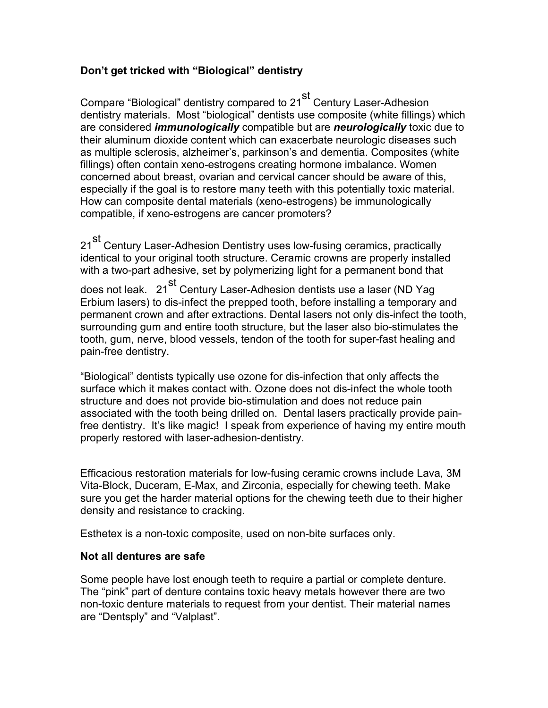# **Don't get tricked with "Biological" dentistry**

Compare "Biological" dentistry compared to 21<sup>st</sup> Century Laser-Adhesion dentistry materials. Most "biological" dentists use composite (white fillings) which are considered *immunologically* compatible but are *neurologically* toxic due to their aluminum dioxide content which can exacerbate neurologic diseases such as multiple sclerosis, alzheimer's, parkinson's and dementia. Composites (white fillings) often contain xeno-estrogens creating hormone imbalance. Women concerned about breast, ovarian and cervical cancer should be aware of this, especially if the goal is to restore many teeth with this potentially toxic material. How can composite dental materials (xeno-estrogens) be immunologically compatible, if xeno-estrogens are cancer promoters?

21<sup>st</sup> Century Laser-Adhesion Dentistry uses low-fusing ceramics, practically identical to your original tooth structure. Ceramic crowns are properly installed with a two-part adhesive, set by polymerizing light for a permanent bond that

does not leak. 21<sup>st</sup> Century Laser-Adhesion dentists use a laser (ND Yag Erbium lasers) to dis-infect the prepped tooth, before installing a temporary and permanent crown and after extractions. Dental lasers not only dis-infect the tooth, surrounding gum and entire tooth structure, but the laser also bio-stimulates the tooth, gum, nerve, blood vessels, tendon of the tooth for super-fast healing and pain-free dentistry.

"Biological" dentists typically use ozone for dis-infection that only affects the surface which it makes contact with. Ozone does not dis-infect the whole tooth structure and does not provide bio-stimulation and does not reduce pain associated with the tooth being drilled on. Dental lasers practically provide painfree dentistry. It's like magic! I speak from experience of having my entire mouth properly restored with laser-adhesion-dentistry.

Efficacious restoration materials for low-fusing ceramic crowns include Lava, 3M Vita-Block, Duceram, E-Max, and Zirconia, especially for chewing teeth. Make sure you get the harder material options for the chewing teeth due to their higher density and resistance to cracking.

Esthetex is a non-toxic composite, used on non-bite surfaces only.

### **Not all dentures are safe**

Some people have lost enough teeth to require a partial or complete denture. The "pink" part of denture contains toxic heavy metals however there are two non-toxic denture materials to request from your dentist. Their material names are "Dentsply" and "Valplast".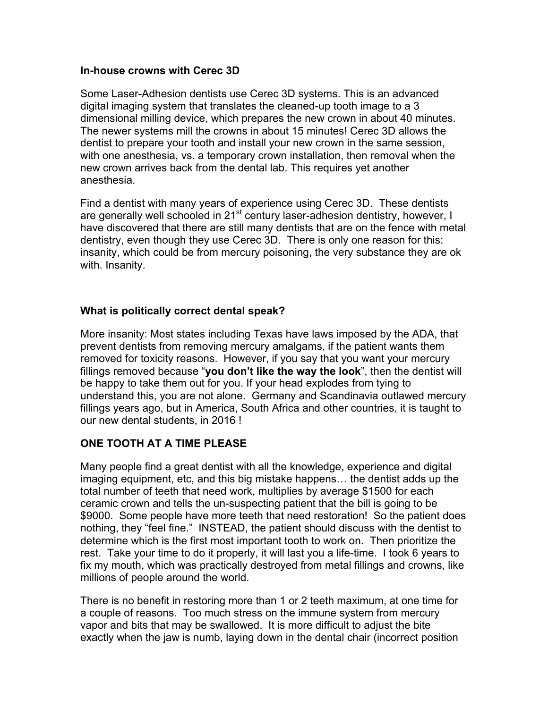#### **In-house crowns with Cerec 3D**

Some Laser-Adhesion dentists use Cerec 3D systems. This is an advanced digital imaging system that translates the cleaned-up tooth image to a 3 dimensional milling device, which prepares the new crown in about 40 minutes. The newer systems mill the crowns in about 15 minutes! Cerec 3D allows the dentist to prepare your tooth and install your new crown in the same session, with one anesthesia, vs. a temporary crown installation, then removal when the new crown arrives back from the dental lab. This requires yet another anesthesia.

Find a dentist with many years of experience using Cerec 3D. These dentists are generally well schooled in 21<sup>st</sup> century laser-adhesion dentistry, however, I have discovered that there are still many dentists that are on the fence with metal dentistry, even though they use Cerec 3D. There is only one reason for this: insanity, which could be from mercury poisoning, the very substance they are ok with. Insanity.

### **What is politically correct dental speak?**

More insanity: Most states including Texas have laws imposed by the ADA, that prevent dentists from removing mercury amalgams, if the patient wants them removed for toxicity reasons. However, if you say that you want your mercury fillings removed because "**you don't like the way the look**", then the dentist will be happy to take them out for you. If your head explodes from tying to understand this, you are not alone. Germany and Scandinavia outlawed mercury fillings years ago, but in America, South Africa and other countries, it is taught to our new dental students, in 2016 !

# **ONE TOOTH AT A TIME PLEASE**

Many people find a great dentist with all the knowledge, experience and digital imaging equipment, etc, and this big mistake happens… the dentist adds up the total number of teeth that need work, multiplies by average \$1500 for each ceramic crown and tells the un-suspecting patient that the bill is going to be \$9000. Some people have more teeth that need restoration! So the patient does nothing, they "feel fine." INSTEAD, the patient should discuss with the dentist to determine which is the first most important tooth to work on. Then prioritize the rest. Take your time to do it properly, it will last you a life-time. I took 6 years to fix my mouth, which was practically destroyed from metal fillings and crowns, like millions of people around the world.

There is no benefit in restoring more than 1 or 2 teeth maximum, at one time for a couple of reasons. Too much stress on the immune system from mercury vapor and bits that may be swallowed. It is more difficult to adjust the bite exactly when the jaw is numb, laying down in the dental chair (incorrect position